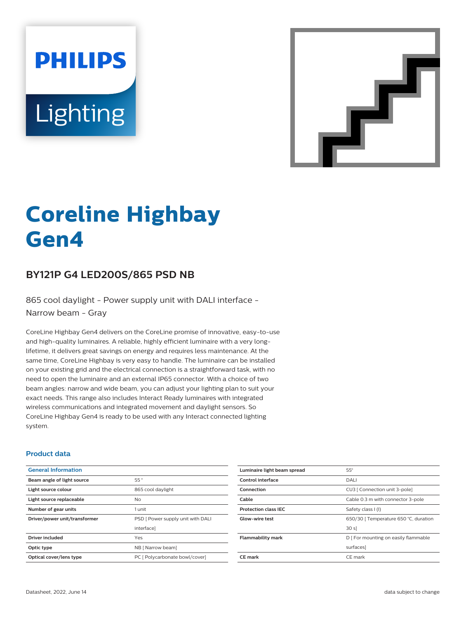# **PHILIPS** Lighting



# **Coreline Highbay Gen4**

# **BY121P G4 LED200S/865 PSD NB**

865 cool daylight - Power supply unit with DALI interface -Narrow beam - Gray

CoreLine Highbay Gen4 delivers on the CoreLine promise of innovative, easy-to-use and high-quality luminaires. A reliable, highly efficient luminaire with a very longlifetime, it delivers great savings on energy and requires less maintenance. At the same time, CoreLine Highbay is very easy to handle. The luminaire can be installed on your existing grid and the electrical connection is a straightforward task, with no need to open the luminaire and an external IP65 connector. With a choice of two beam angles: narrow and wide beam, you can adjust your lighting plan to suit your exact needs. This range also includes Interact Ready luminaires with integrated wireless communications and integrated movement and daylight sensors. So CoreLine Highbay Gen4 is ready to be used with any Interact connected lighting system.

#### **Product data**

| 55°                               |
|-----------------------------------|
| 865 cool daylight                 |
| No.                               |
| 1 unit                            |
| PSD [ Power supply unit with DALI |
| interface]                        |
| Yes                               |
| NB [ Narrow beam]                 |
| PC [ Polycarbonate bowl/cover]    |
|                                   |

| Luminaire light beam spread | $55^\circ$                            |
|-----------------------------|---------------------------------------|
| Control interface           | DALI                                  |
| Connection                  | CU3   Connection unit 3-pole]         |
| Cable                       | Cable 0.3 m with connector 3-pole     |
| <b>Protection class IEC</b> | Safety class I (I)                    |
| <b>Glow-wire test</b>       | 650/30   Temperature 650 °C, duration |
|                             | 30 s                                  |
| <b>Flammability mark</b>    | D   For mounting on easily flammable  |
|                             | surfaces]                             |
| <b>CE</b> mark              | CE mark                               |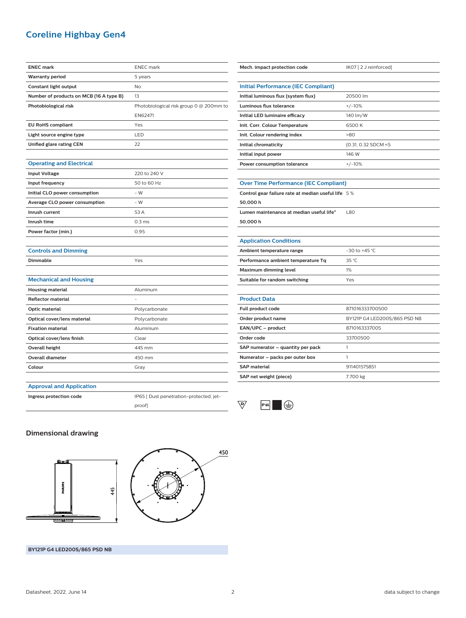# **Coreline Highbay Gen4**

| <b>ENEC mark</b>                        | <b>ENEC</b> mark                        |
|-----------------------------------------|-----------------------------------------|
| <b>Warranty period</b>                  | 5 years                                 |
| Constant light output                   | <b>No</b>                               |
| Number of products on MCB (16 A type B) | 13                                      |
| Photobiological risk                    | Photobiological risk group 0 @ 200mm to |
|                                         | EN62471                                 |
| <b>EU RoHS compliant</b>                | Yes                                     |
| Light source engine type                | LED                                     |
| Unified glare rating CEN                | 22                                      |
|                                         |                                         |
| <b>Operating and Electrical</b>         |                                         |
| <b>Input Voltage</b>                    | 220 to 240 V                            |
| Input frequency                         | 50 to 60 Hz                             |
| Initial CLO power consumption           | $-W$                                    |
| Average CLO power consumption           | $-W$                                    |
| Inrush current                          | 53 A                                    |
| Inrush time                             | 0.3 <sub>ms</sub>                       |
| Power factor (min.)                     | 0.95                                    |
|                                         |                                         |
| <b>Controls and Dimming</b>             |                                         |
| <b>Dimmable</b>                         | Yes                                     |
| <b>Mechanical and Housing</b>           |                                         |
| <b>Housing material</b>                 | Aluminum                                |
| <b>Reflector material</b>               |                                         |
| Optic material                          | Polycarbonate                           |
| Optical cover/lens material             | Polycarbonate                           |
| <b>Fixation material</b>                | Aluminium                               |
| Optical cover/lens finish               | Clear                                   |
| <b>Overall height</b>                   | 445 mm                                  |
| <b>Overall diameter</b>                 | 450 mm                                  |
|                                         |                                         |

| Mech. impact protection code                       | IK07 [2 J reinforced]        |  |
|----------------------------------------------------|------------------------------|--|
|                                                    |                              |  |
| <b>Initial Performance (IEC Compliant)</b>         |                              |  |
| Initial luminous flux (system flux)                | 20500 lm                     |  |
| Luminous flux tolerance                            | $+/-10%$                     |  |
| Initial LED luminaire efficacy                     | 140 lm/W                     |  |
| Init. Corr. Colour Temperature                     | 6500K                        |  |
| Init. Colour rendering index                       | >80                          |  |
| Initial chromaticity                               | (0.31, 0.32 SDCM <5          |  |
| Initial input power                                | 146 W                        |  |
| Power consumption tolerance                        | $+/-10%$                     |  |
|                                                    |                              |  |
| <b>Over Time Performance (IEC Compliant)</b>       |                              |  |
| Control gear failure rate at median useful life 5% |                              |  |
| 50,000 h                                           |                              |  |
| Lumen maintenance at median useful life*           | L80                          |  |
| 50,000 h                                           |                              |  |
|                                                    |                              |  |
| <b>Application Conditions</b>                      |                              |  |
| Ambient temperature range                          | $-30$ to $+45$ °C            |  |
| Performance ambient temperature Tq                 | 35 °C                        |  |
| <b>Maximum dimming level</b>                       | 1%                           |  |
| Suitable for random switching                      | Yes                          |  |
|                                                    |                              |  |
| <b>Product Data</b>                                |                              |  |
| Full product code                                  | 871016333700500              |  |
| Order product name                                 | BY121P G4 LED200S/865 PSD NB |  |
| EAN/UPC - product                                  | 8710163337005                |  |
| Order code                                         | 33700500                     |  |

| <b>EAN/UPC - DIOUUCL</b>          | <u>07 IUID 3337UU3</u> |
|-----------------------------------|------------------------|
| Order code                        | 33700500               |
| SAP numerator - quantity per pack |                        |
| Numerator – packs per outer box   |                        |
| <b>SAP material</b>               | 911401575851           |
| SAP net weight (piece)            | 7.700 kg               |

#### **Approval and Application**

**Ingress protection code** IP65 [ Dust penetration-protected, jetproof]



### **Dimensional drawing**





**BY121P G4 LED200S/865 PSD NB**

Datasheet, 2022, June 14 and 2 data subject to change